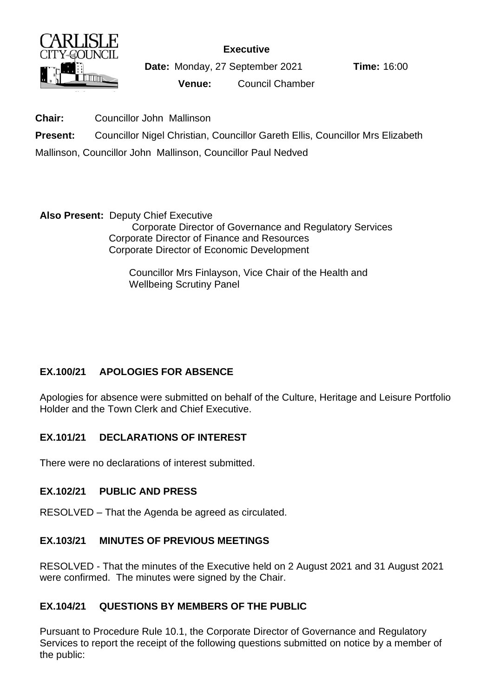

**Executive**

**Date:** Monday, 27 September 2021 **Time:** 16:00

**Venue:** Council Chamber

**Chair:** Councillor John Mallinson

**Present:** Councillor Nigel Christian, Councillor Gareth Ellis, Councillor Mrs Elizabeth

Mallinson, Councillor John Mallinson, Councillor Paul Nedved

**Also Present:** Deputy Chief Executive Corporate Director of Governance and Regulatory Services Corporate Director of Finance and Resources Corporate Director of Economic Development

> Councillor Mrs Finlayson, Vice Chair of the Health and Wellbeing Scrutiny Panel

# **EX.100/21 APOLOGIES FOR ABSENCE**

Apologies for absence were submitted on behalf of the Culture, Heritage and Leisure Portfolio Holder and the Town Clerk and Chief Executive.

# **EX.101/21 DECLARATIONS OF INTEREST**

There were no declarations of interest submitted.

# **EX.102/21 PUBLIC AND PRESS**

RESOLVED – That the Agenda be agreed as circulated.

# **EX.103/21 MINUTES OF PREVIOUS MEETINGS**

RESOLVED - That the minutes of the Executive held on 2 August 2021 and 31 August 2021 were confirmed. The minutes were signed by the Chair.

# **EX.104/21 QUESTIONS BY MEMBERS OF THE PUBLIC**

Pursuant to Procedure Rule 10.1, the Corporate Director of Governance and Regulatory Services to report the receipt of the following questions submitted on notice by a member of the public: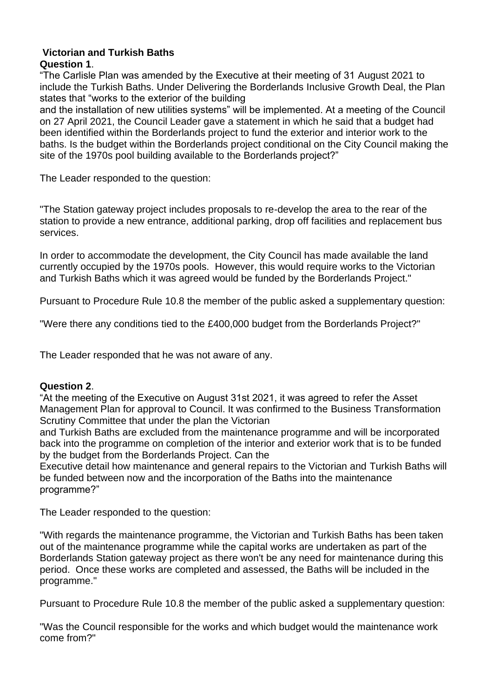#### **Victorian and Turkish Baths Question 1**.

"The Carlisle Plan was amended by the Executive at their meeting of 31 August 2021 to include the Turkish Baths. Under Delivering the Borderlands Inclusive Growth Deal, the Plan states that "works to the exterior of the building

and the installation of new utilities systems" will be implemented. At a meeting of the Council on 27 April 2021, the Council Leader gave a statement in which he said that a budget had been identified within the Borderlands project to fund the exterior and interior work to the baths. Is the budget within the Borderlands project conditional on the City Council making the site of the 1970s pool building available to the Borderlands project?"

The Leader responded to the question:

"The Station gateway project includes proposals to re-develop the area to the rear of the station to provide a new entrance, additional parking, drop off facilities and replacement bus services.

In order to accommodate the development, the City Council has made available the land currently occupied by the 1970s pools. However, this would require works to the Victorian and Turkish Baths which it was agreed would be funded by the Borderlands Project."

Pursuant to Procedure Rule 10.8 the member of the public asked a supplementary question:

"Were there any conditions tied to the £400,000 budget from the Borderlands Project?"

The Leader responded that he was not aware of any.

### **Question 2**.

"At the meeting of the Executive on August 31st 2021, it was agreed to refer the Asset Management Plan for approval to Council. It was confirmed to the Business Transformation Scrutiny Committee that under the plan the Victorian

and Turkish Baths are excluded from the maintenance programme and will be incorporated back into the programme on completion of the interior and exterior work that is to be funded by the budget from the Borderlands Project. Can the

Executive detail how maintenance and general repairs to the Victorian and Turkish Baths will be funded between now and the incorporation of the Baths into the maintenance programme?"

The Leader responded to the question:

"With regards the maintenance programme, the Victorian and Turkish Baths has been taken out of the maintenance programme while the capital works are undertaken as part of the Borderlands Station gateway project as there won't be any need for maintenance during this period. Once these works are completed and assessed, the Baths will be included in the programme."

Pursuant to Procedure Rule 10.8 the member of the public asked a supplementary question:

"Was the Council responsible for the works and which budget would the maintenance work come from?"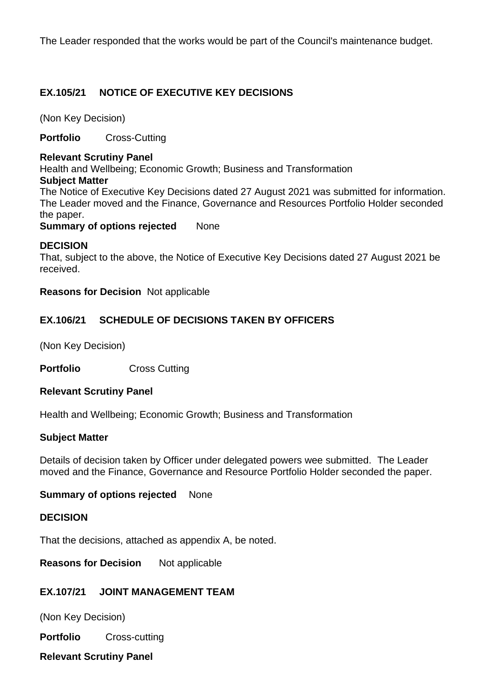The Leader responded that the works would be part of the Council's maintenance budget.

## **EX.105/21 NOTICE OF EXECUTIVE KEY DECISIONS**

(Non Key Decision)

**Portfolio** Cross-Cutting

#### **Relevant Scrutiny Panel**

Health and Wellbeing; Economic Growth; Business and Transformation

#### **Subject Matter**

The Notice of Executive Key Decisions dated 27 August 2021 was submitted for information. The Leader moved and the Finance, Governance and Resources Portfolio Holder seconded the paper.

**Summary of options rejected None** 

### **DECISION**

That, subject to the above, the Notice of Executive Key Decisions dated 27 August 2021 be received.

**Reasons for Decision** Not applicable

# **EX.106/21 SCHEDULE OF DECISIONS TAKEN BY OFFICERS**

(Non Key Decision)

**Portfolio** Cross Cutting

### **Relevant Scrutiny Panel**

Health and Wellbeing; Economic Growth; Business and Transformation

### **Subject Matter**

Details of decision taken by Officer under delegated powers wee submitted. The Leader moved and the Finance, Governance and Resource Portfolio Holder seconded the paper.

### **Summary of options rejected** None

### **DECISION**

That the decisions, attached as appendix A, be noted.

**Reasons for Decision** Not applicable

# **EX.107/21 JOINT MANAGEMENT TEAM**

(Non Key Decision)

**Portfolio** Cross-cutting

**Relevant Scrutiny Panel**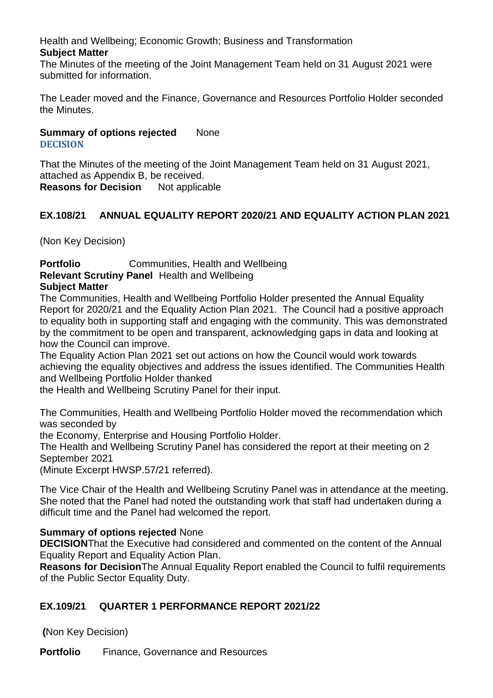Health and Wellbeing; Economic Growth; Business and Transformation **Subject Matter**

The Minutes of the meeting of the Joint Management Team held on 31 August 2021 were submitted for information.

The Leader moved and the Finance, Governance and Resources Portfolio Holder seconded the Minutes.

### **Summary of options rejected None DECISION**

That the Minutes of the meeting of the Joint Management Team held on 31 August 2021, attached as Appendix B, be received. **Reasons for Decision** Not applicable

# **EX.108/21 ANNUAL EQUALITY REPORT 2020/21 AND EQUALITY ACTION PLAN 2021**

(Non Key Decision)

**Portfolio** Communities, Health and Wellbeing **Relevant Scrutiny Panel** Health and Wellbeing **Subject Matter**

The Communities, Health and Wellbeing Portfolio Holder presented the Annual Equality Report for 2020/21 and the Equality Action Plan 2021. The Council had a positive approach to equality both in supporting staff and engaging with the community. This was demonstrated by the commitment to be open and transparent, acknowledging gaps in data and looking at how the Council can improve.

The Equality Action Plan 2021 set out actions on how the Council would work towards achieving the equality objectives and address the issues identified. The Communities Health and Wellbeing Portfolio Holder thanked

the Health and Wellbeing Scrutiny Panel for their input.

The Communities, Health and Wellbeing Portfolio Holder moved the recommendation which was seconded by

the Economy, Enterprise and Housing Portfolio Holder.

The Health and Wellbeing Scrutiny Panel has considered the report at their meeting on 2 September 2021

(Minute Excerpt HWSP.57/21 referred).

The Vice Chair of the Health and Wellbeing Scrutiny Panel was in attendance at the meeting. She noted that the Panel had noted the outstanding work that staff had undertaken during a difficult time and the Panel had welcomed the report.

### **Summary of options rejected** None

**DECISION**That the Executive had considered and commented on the content of the Annual Equality Report and Equality Action Plan.

**Reasons for Decision**The Annual Equality Report enabled the Council to fulfil requirements of the Public Sector Equality Duty.

# **EX.109/21 QUARTER 1 PERFORMANCE REPORT 2021/22**

**(**Non Key Decision)

**Portfolio** Finance, Governance and Resources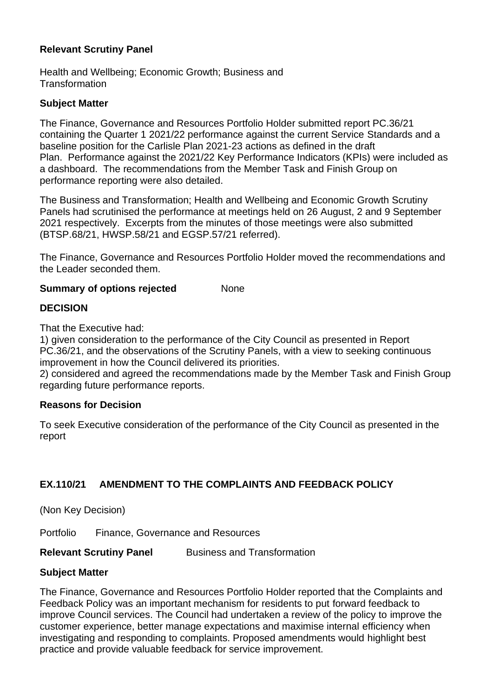#### **Relevant Scrutiny Panel**

Health and Wellbeing; Economic Growth; Business and **Transformation** 

#### **Subject Matter**

The Finance, Governance and Resources Portfolio Holder submitted report PC.36/21 containing the Quarter 1 2021/22 performance against the current Service Standards and a baseline position for the Carlisle Plan 2021-23 actions as defined in the draft Plan. Performance against the 2021/22 Key Performance Indicators (KPIs) were included as a dashboard. The recommendations from the Member Task and Finish Group on performance reporting were also detailed.

The Business and Transformation; Health and Wellbeing and Economic Growth Scrutiny Panels had scrutinised the performance at meetings held on 26 August, 2 and 9 September 2021 respectively. Excerpts from the minutes of those meetings were also submitted (BTSP.68/21, HWSP.58/21 and EGSP.57/21 referred).

The Finance, Governance and Resources Portfolio Holder moved the recommendations and the Leader seconded them.

#### **Summary of options rejected Mone**

#### **DECISION**

That the Executive had:

1) given consideration to the performance of the City Council as presented in Report PC.36/21, and the observations of the Scrutiny Panels, with a view to seeking continuous improvement in how the Council delivered its priorities.

2) considered and agreed the recommendations made by the Member Task and Finish Group regarding future performance reports.

#### **Reasons for Decision**

To seek Executive consideration of the performance of the City Council as presented in the report

### **EX.110/21 AMENDMENT TO THE COMPLAINTS AND FEEDBACK POLICY**

(Non Key Decision)

Portfolio Finance, Governance and Resources

#### **Relevant Scrutiny Panel Business and Transformation**

#### **Subject Matter**

The Finance, Governance and Resources Portfolio Holder reported that the Complaints and Feedback Policy was an important mechanism for residents to put forward feedback to improve Council services. The Council had undertaken a review of the policy to improve the customer experience, better manage expectations and maximise internal efficiency when investigating and responding to complaints. Proposed amendments would highlight best practice and provide valuable feedback for service improvement.